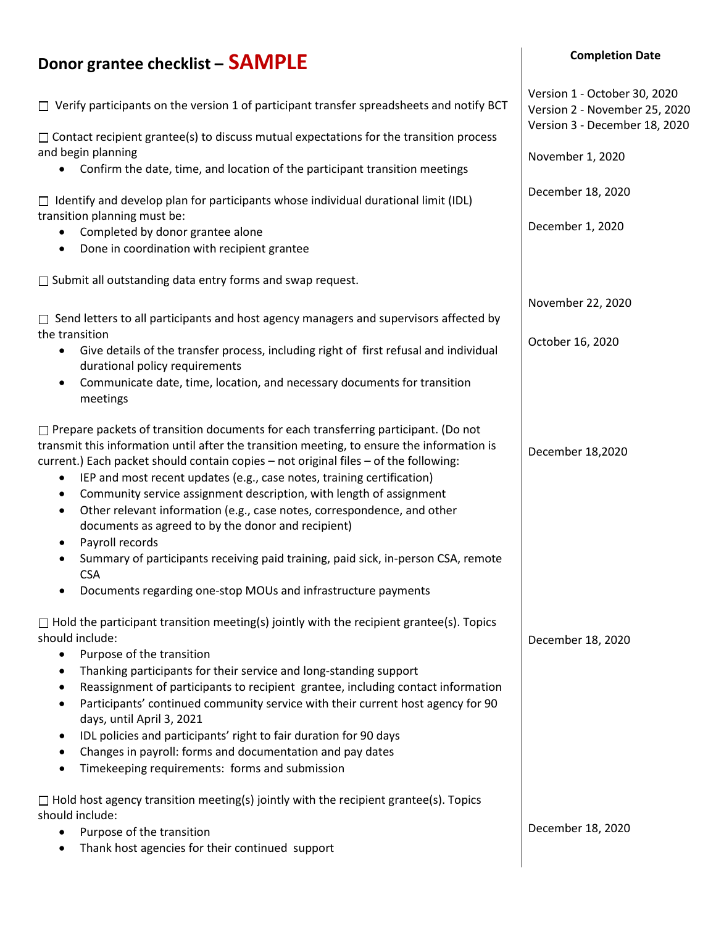## **Donor grantee checklist – SAMPLE**   $\Box$  Verify participants on the version 1 of participant transfer spreadsheets and notify BCT  $\Box$  Contact recipient grantee(s) to discuss mutual expectations for the transition process and begin planning • Confirm the date, time, and location of the participant transition meetings  $\Box$  Identify and develop plan for participants whose individual durational limit (IDL) transition planning must be: • Completed by donor grantee alone • Done in coordination with recipient grantee  $\Box$  Submit all outstanding data entry forms and swap request.  $\Box$  Send letters to all participants and host agency managers and supervisors affected by the transition • Give details of the transfer process, including right of first refusal and individual durational policy requirements • Communicate date, time, location, and necessary documents for transition meetings  $\Box$  Prepare packets of transition documents for each transferring participant. (Do not transmit this information until after the transition meeting, to ensure the information is current.) Each packet should contain copies – not original files – of the following: • IEP and most recent updates (e.g., case notes, training certification) • Community service assignment description, with length of assignment • Other relevant information (e.g., case notes, correspondence, and other documents as agreed to by the donor and recipient) Payroll records • Summary of participants receiving paid training, paid sick, in-person CSA, remote **CSA** • Documents regarding one-stop MOUs and infrastructure payments  $\Box$  Hold the participant transition meeting(s) jointly with the recipient grantee(s). Topics should include: • Purpose of the transition • Thanking participants for their service and long-standing support • Reassignment of participants to recipient grantee, including contact information • Participants' continued community service with their current host agency for 90 days, until April 3, 2021 • IDL policies and participants' right to fair duration for 90 days • Changes in payroll: forms and documentation and pay dates • Timekeeping requirements: forms and submission  $\Box$  Hold host agency transition meeting(s) jointly with the recipient grantee(s). Topics should include: • Purpose of the transition • Thank host agencies for their continued support Version 1 - October 30, 2020 Version 2 - November 25, 2020 Version 3 - December 18, 2020 November 1, 2020 December 18, 2020 December 1, 2020 November 22, 2020 October 16, 2020 December 18,2020 December 18, 2020 December 18, 2020

**Completion Date**